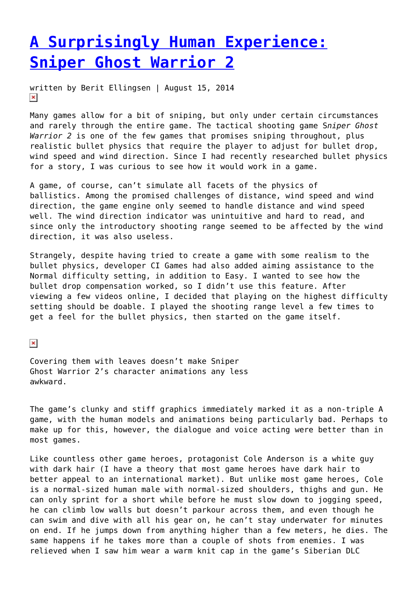## **[A Surprisingly Human Experience:](https://entropymag.org/a-surprisingly-human-experience-sniper-ghost-warrior-2/) [Sniper Ghost Warrior 2](https://entropymag.org/a-surprisingly-human-experience-sniper-ghost-warrior-2/)**

written by Berit Ellingsen | August 15, 2014  $\pmb{\times}$ 

Many games allow for a bit of sniping, but only under certain circumstances and rarely through the entire game. The tactical shooting game S*niper Ghost Warrior 2* is one of the few games that promises sniping throughout, plus realistic bullet physics that require the player to adjust for bullet drop, wind speed and wind direction. Since I had recently researched bullet physics for a story, I was curious to see how it would work in a game.

A game, of course, can't simulate all facets of the physics of ballistics. Among the promised challenges of distance, wind speed and wind direction, the game engine only seemed to handle distance and wind speed well. The wind direction indicator was unintuitive and hard to read, and since only the introductory shooting range seemed to be affected by the wind direction, it was also useless.

Strangely, despite having tried to create a game with some realism to the bullet physics, developer CI Games had also added aiming assistance to the Normal difficulty setting, in addition to Easy. I wanted to see how the bullet drop compensation worked, so I didn't use this feature. After viewing a few videos online, I decided that playing on the highest difficulty setting should be doable. I played the shooting range level a few times to get a feel for the bullet physics, then started on the game itself.

 $\pmb{\times}$ 

Covering them with leaves doesn't make Sniper Ghost Warrior 2's character animations any less awkward.

The game's clunky and stiff graphics immediately marked it as a non-triple A game, with the human models and animations being particularly bad. Perhaps to make up for this, however, the dialogue and voice acting were better than in most games.

Like countless other game heroes, protagonist Cole Anderson is a white guy with dark hair (I have a theory that most game heroes have dark hair to better appeal to an international market). But unlike most game heroes, Cole is a normal-sized human male with normal-sized shoulders, thighs and gun. He can only sprint for a short while before he must slow down to jogging speed, he can climb low walls but doesn't parkour across them, and even though he can swim and dive with all his gear on, he can't stay underwater for minutes on end. If he jumps down from anything higher than a few meters, he dies. The same happens if he takes more than a couple of shots from enemies. I was relieved when I saw him wear a warm knit cap in the game's Siberian DLC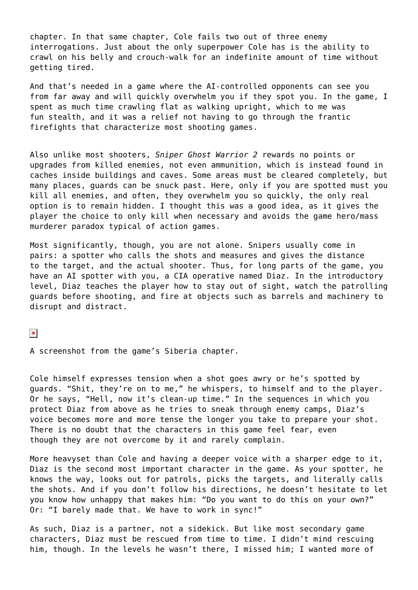chapter. In that same chapter, Cole fails two out of three enemy interrogations. Just about the only superpower Cole has is the ability to crawl on his belly and crouch-walk for an indefinite amount of time without getting tired.

And that's needed in a game where the AI-controlled opponents can see you from far away and will quickly overwhelm you if they spot you. In the game, I spent as much time crawling flat as walking upright, which to me was fun stealth, and it was a relief not having to go through the frantic firefights that characterize most shooting games.

Also unlike most shooters, *Sniper Ghost Warrior 2* rewards no points or upgrades from killed enemies, not even ammunition, which is instead found in caches inside buildings and caves. Some areas must be cleared completely, but many places, guards can be snuck past. Here, only if you are spotted must you kill all enemies, and often, they overwhelm you so quickly, the only real option is to remain hidden. I thought this was a good idea, as it gives the player the choice to only kill when necessary and avoids the game hero/mass murderer paradox typical of action games.

Most significantly, though, you are not alone. Snipers usually come in pairs: a spotter who calls the shots and measures and gives the distance to the target, and the actual shooter. Thus, for long parts of the game, you have an AI spotter with you, a CIA operative named Diaz. In the introductory level, Diaz teaches the player how to stay out of sight, watch the patrolling guards before shooting, and fire at objects such as barrels and machinery to disrupt and distract.

 $\pmb{\times}$ 

A screenshot from the game's Siberia chapter.

Cole himself expresses tension when a shot goes awry or he's spotted by guards. "Shit, they're on to me," he whispers, to himself and to the player. Or he says, "Hell, now it's clean-up time." In the sequences in which you protect Diaz from above as he tries to sneak through enemy camps, Diaz's voice becomes more and more tense the longer you take to prepare your shot. There is no doubt that the characters in this game feel fear, even though they are not overcome by it and rarely complain.

More heavyset than Cole and having a deeper voice with a sharper edge to it, Diaz is the second most important character in the game. As your spotter, he knows the way, looks out for patrols, picks the targets, and literally calls the shots. And if you don't follow his directions, he doesn't hesitate to let you know how unhappy that makes him: "Do you want to do this on your own?" Or: "I barely made that. We have to work in sync!"

As such, Diaz is a partner, not a sidekick. But like most secondary game characters, Diaz must be rescued from time to time. I didn't mind rescuing him, though. In the levels he wasn't there, I missed him; I wanted more of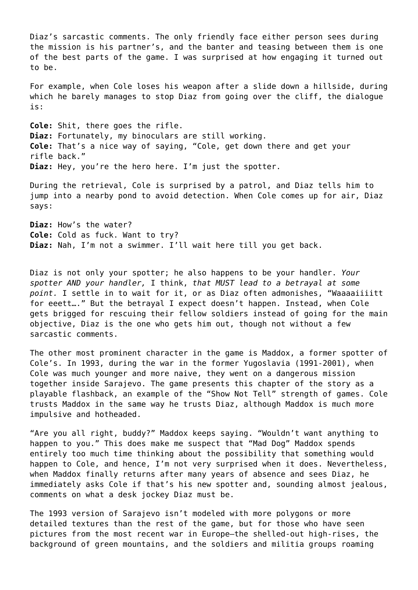Diaz's sarcastic comments. The only friendly face either person sees during the mission is his partner's, and the banter and teasing between them is one of the best parts of the game. I was surprised at how engaging it turned out to be.

For example, when Cole loses his weapon after a slide down a hillside, during which he barely manages to stop Diaz from going over the cliff, the dialogue is:

**Cole:** Shit, there goes the rifle. **Diaz:** Fortunately, my binoculars are still working. **Cole:** That's a nice way of saying, "Cole, get down there and get your rifle back." **Diaz:** Hey, you're the hero here. I'm just the spotter.

During the retrieval, Cole is surprised by a patrol, and Diaz tells him to jump into a nearby pond to avoid detection. When Cole comes up for air, Diaz says:

**Diaz:** How's the water? **Cole:** Cold as fuck. Want to try? **Diaz:** Nah, I'm not a swimmer. I'll wait here till you get back.

Diaz is not only your spotter; he also happens to be your handler. *Your spotter AND your handler,* I think, *that MUST lead to a betrayal at some point.* I settle in to wait for it, or as Diaz often admonishes, "Waaaaiiiitt for eeett…." But the betrayal I expect doesn't happen. Instead, when Cole gets brigged for rescuing their fellow soldiers instead of going for the main objective, Diaz is the one who gets him out, though not without a few sarcastic comments.

The other most prominent character in the game is Maddox, a former spotter of Cole's. In 1993, during the war in the former Yugoslavia (1991-2001), when Cole was much younger and more naive, they went on a dangerous mission together inside Sarajevo. The game presents this chapter of the story as a playable flashback, an example of the "Show Not Tell" strength of games. Cole trusts Maddox in the same way he trusts Diaz, although Maddox is much more impulsive and hotheaded.

"Are you all right, buddy?" Maddox keeps saying. "Wouldn't want anything to happen to you." This does make me suspect that "Mad Dog" Maddox spends entirely too much time thinking about the possibility that something would happen to Cole, and hence, I'm not very surprised when it does. Nevertheless, when Maddox finally returns after many years of absence and sees Diaz, he immediately asks Cole if that's his new spotter and, sounding almost jealous, comments on what a desk jockey Diaz must be.

The 1993 version of Sarajevo isn't modeled with more polygons or more detailed textures than the rest of the game, but for those who have seen pictures from the most recent war in Europe–the shelled-out high-rises, the background of green mountains, and the soldiers and militia groups roaming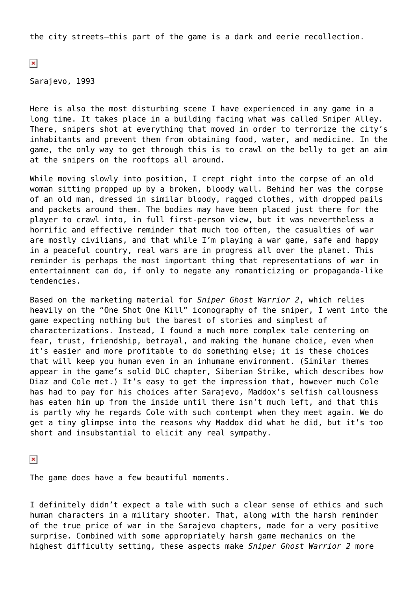the city streets–this part of the game is a dark and eerie recollection.

 $\pmb{\times}$ 

Sarajevo, 1993

Here is also the most disturbing scene I have experienced in any game in a long time. It takes place in a building facing what was called Sniper Alley. There, snipers shot at everything that moved in order to terrorize the city's inhabitants and prevent them from obtaining food, water, and medicine. In the game, the only way to get through this is to crawl on the belly to get an aim at the snipers on the rooftops all around.

While moving slowly into position, I crept right into the corpse of an old woman sitting propped up by a broken, bloody wall. Behind her was the corpse of an old man, dressed in similar bloody, ragged clothes, with dropped pails and packets around them. The bodies may have been placed just there for the player to crawl into, in full first-person view, but it was nevertheless a horrific and effective reminder that much too often, the casualties of war are mostly civilians, and that while I'm playing a war game, safe and happy in a peaceful country, real wars are in progress all over the planet. This reminder is perhaps the most important thing that representations of war in entertainment can do, if only to negate any romanticizing or propaganda-like tendencies.

Based on the marketing material for *Sniper Ghost Warrior 2*, which relies heavily on the "One Shot One Kill" iconography of the sniper, I went into the game expecting nothing but the barest of stories and simplest of characterizations. Instead, I found a much more complex tale centering on fear, trust, friendship, betrayal, and making the humane choice, even when it's easier and more profitable to do something else; it is these choices that will keep you human even in an inhumane environment. (Similar themes appear in the game's solid DLC chapter, Siberian Strike, which describes how Diaz and Cole met.) It's easy to get the impression that, however much Cole has had to pay for his choices after Sarajevo, Maddox's selfish callousness has eaten him up from the inside until there isn't much left, and that this is partly why he regards Cole with such contempt when they meet again. We do get a tiny glimpse into the reasons why Maddox did what he did, but it's too short and insubstantial to elicit any real sympathy.

 $\pmb{\times}$ 

The game does have a few beautiful moments.

I definitely didn't expect a tale with such a clear sense of ethics and such human characters in a military shooter. That, along with the harsh reminder of the true price of war in the Sarajevo chapters, made for a very positive surprise. Combined with some appropriately harsh game mechanics on the highest difficulty setting, these aspects make *Sniper Ghost Warrior 2* more